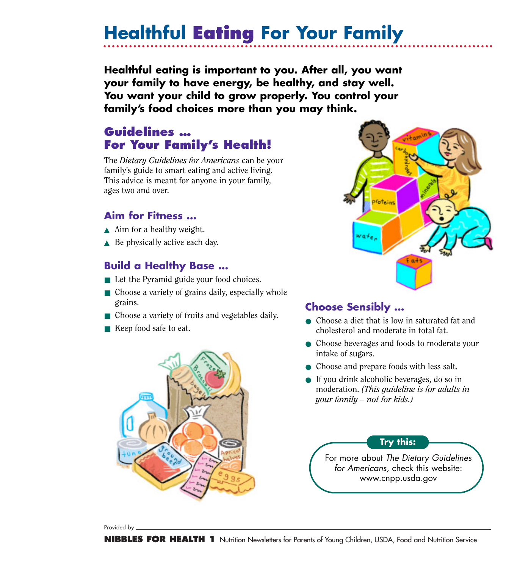## **Healthful Eating For Your Family**

**Healthful eating is important to you. After all, you want your family to have energy, be healthy, and stay well. You want your child to grow properly. You control your family's food choices more than you may think.** 

## **Guidelines … For Your Family's Health!**

The *Dietary Guidelines for Americans* can be your family's guide to smart eating and active living. This advice is meant for anyone in your family, ages two and over.

### **Aim for Fitness …**

- $\blacktriangle$  Aim for a healthy weight.
- $\triangle$  Be physically active each day.

## **Build a Healthy Base …**

- Let the Pyramid guide your food choices.
- $\blacksquare$  Choose a variety of grains daily, especially whole grains.
- Choose a variety of fruits and vegetables daily.
- Keep food safe to eat.





## **Choose Sensibly …**

- Choose a diet that is low in saturated fat and cholesterol and moderate in total fat.
- Choose beverages and foods to moderate your intake of sugars.
- Choose and prepare foods with less salt.
- If you drink alcoholic beverages, do so in moderation. *(This guideline is for adults in your family – not for kids.)*

#### **Try this:**

For more about *The Dietary Guidelines for Americans,* check this website: www.cnpp.usda.gov

Provided by